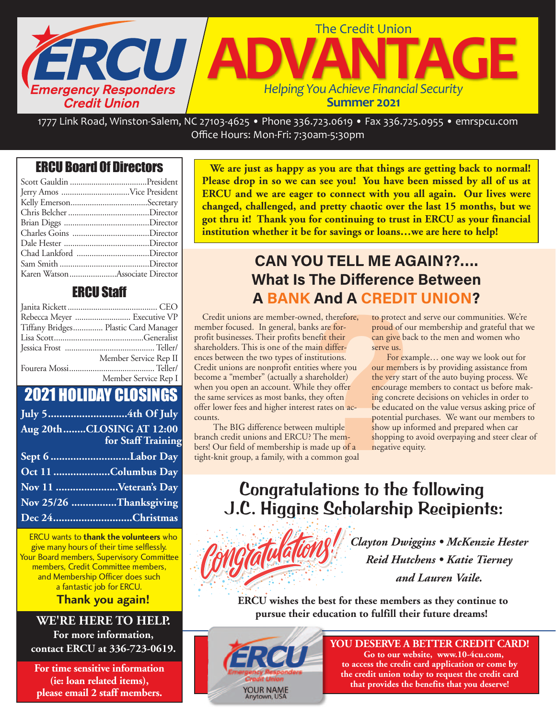

1777 Link Road, Winston‐Salem, NC 27103‐4625 • Phone 336.723.0619 • Fax 336.725.0955 • emrspcu.com Office Hours: Mon‐Fri: 7:30am‐5:30pm

## ERCU Board Of Directors

| Chad Lankford Director         |  |
|--------------------------------|--|
|                                |  |
| Karen WatsonAssociate Director |  |

### ERCU Staff

| Rebecca Meyer  Executive VP          |
|--------------------------------------|
| Tiffany Bridges Plastic Card Manager |
|                                      |
|                                      |
| Member Service Rep II                |
|                                      |
| Member Service Rep I                 |

# 2021 HOLIDAY CLOSINGS

| Aug 20thCLOSING AT 12:00 |
|--------------------------|
| for Staff Training       |
| Sept 6 Labor Day         |
| Oct 11 Columbus Day      |
| Nov 11 Veteran's Day     |
| Nov 25/26 Thanksgiving   |
| Dec 24Christmas          |

ERCU wants to **thank the volunteers** who give many hours of their time selflessly. Your Board members, Supervisory Committee members, Credit Committee members, and Membership Officer does such a fantastic job for ERCU.

### **Thank you again!**

### **WE'RE HERE TO HELP.**

**For more information, contact ERCU at 336-723-0619.**

**For time sensitive information (ie: loan related items), please email 2 staff members.**

**We are just as happy as you are that things are getting back to normal! Please drop in so we can see you! You have been missed by all of us at ERCU and we are eager to connect with you all again. Our lives were changed, challenged, and pretty chaotic over the last 15 months, but we got thru it! Thank you for continuing to trust in ERCU as your financial institution whether it be for savings or loans…we are here to help!**

# **CAN YOU TELL ME AGAIN??…. What Is The Difference Between A BANK And A CREDIT UNION?**

**7 The Difference<br>
<b>7 The Difference**<br> **7 And A CREDI**<br>
The Difference, to protect a<br>
the same for-<br>
proud of our protect a<br>
main differ-<br>
nain differ-<br>
serve us.<br>
For exative to the very star<br>
le they offer<br>
the very star Credit unions are member-owned, therefore, member focused. In general, banks are forprofit businesses. Their profits benefit their shareholders. This is one of the main differences between the two types of institutions. Credit unions are nonprofit entities where you become a "member" (actually a shareholder) when you open an account. While they offer the same services as most banks, they often offer lower fees and higher interest rates on accounts.

 The BIG difference between multiple branch credit unions and ERCU? The members! Our field of membership is made up of a tight-knit group, a family, with a common goal

to protect and serve our communities. We're proud of our membership and grateful that we can give back to the men and women who serve us.

 For example… one way we look out for our members is by providing assistance from the very start of the auto buying process. We encourage members to contact us before making concrete decisions on vehicles in order to be educated on the value versus asking price of potential purchases. We want our members to show up informed and prepared when car shopping to avoid overpaying and steer clear of negative equity.

# Congratulations to the following J.C. Higgins Scholarship Recipients:



*Clayton Dwiggins • McKenzie Hester Reid Hutchens • Katie Tierney and Lauren Vaile.* 

 **ERCU wishes the best for these members as they continue to pursue their education to fulfill their future dreams!**



**YOU DESERVE A BETTER CREDIT CARD! Go to our website, www.10-4cu.com, to access the credit card application or come by the credit union today to request the credit card that provides the benefits that you deserve!**